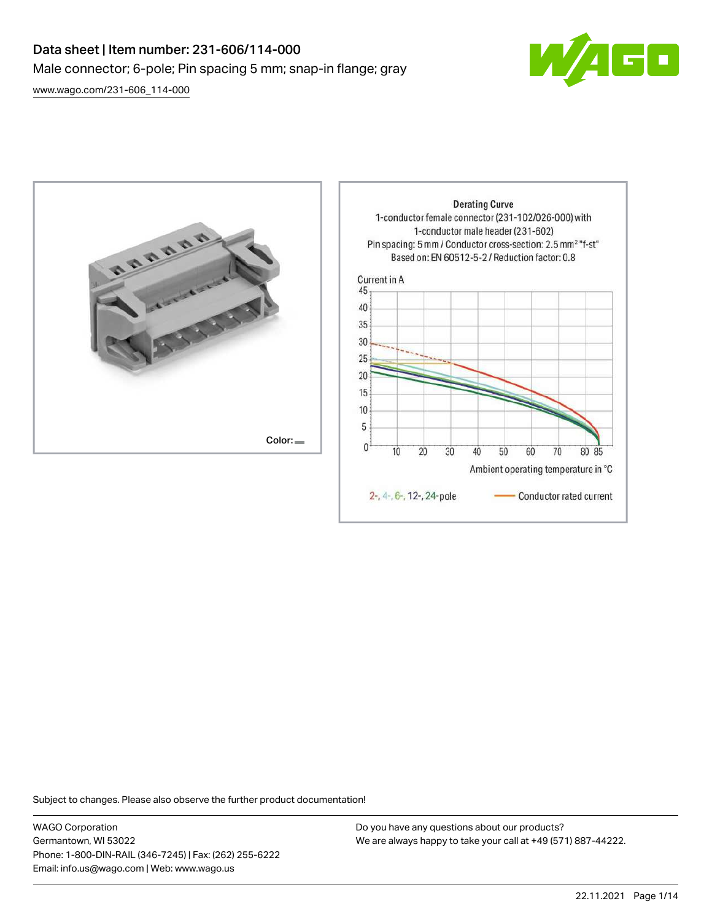# Data sheet | Item number: 231-606/114-000 Male connector; 6-pole; Pin spacing 5 mm; snap-in flange; gray



[www.wago.com/231-606\\_114-000](http://www.wago.com/231-606_114-000)



Subject to changes. Please also observe the further product documentation!

WAGO Corporation Germantown, WI 53022 Phone: 1-800-DIN-RAIL (346-7245) | Fax: (262) 255-6222 Email: info.us@wago.com | Web: www.wago.us

Do you have any questions about our products? We are always happy to take your call at +49 (571) 887-44222.

60

70

Conductor rated current

80 85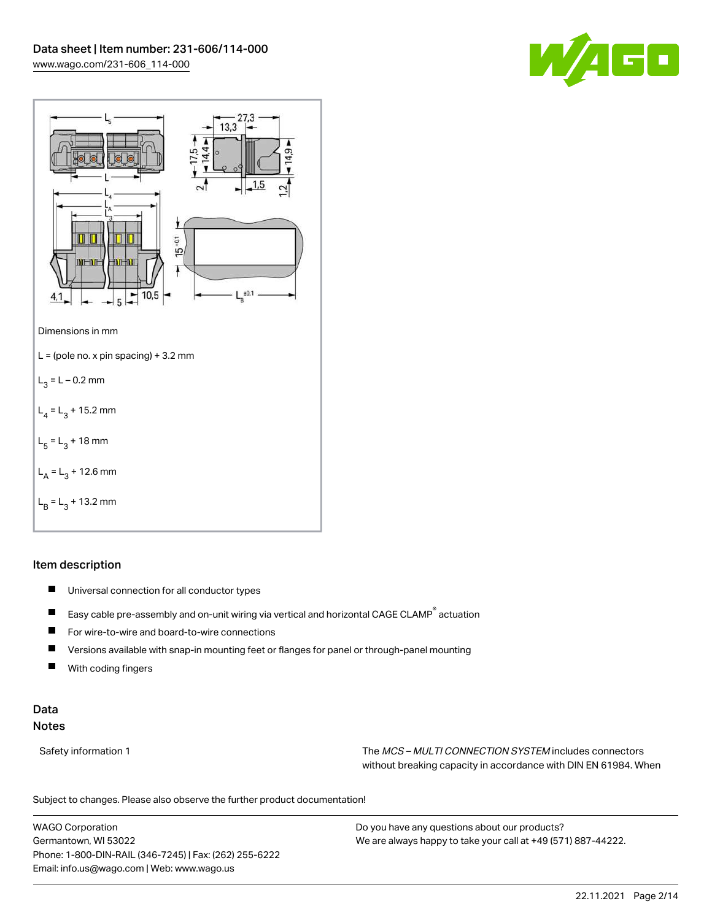



# Item description

- $\blacksquare$ Universal connection for all conductor types
- $\blacksquare$ Easy cable pre-assembly and on-unit wiring via vertical and horizontal CAGE CLAMP® actuation
- $\blacksquare$ For wire-to-wire and board-to-wire connections
- $\blacksquare$ Versions available with snap-in mounting feet or flanges for panel or through-panel mounting
- П With coding fingers

# Data Notes

Safety information 1 The MCS – MULTI CONNECTION SYSTEM includes connectors without breaking capacity in accordance with DIN EN 61984. When

Subject to changes. Please also observe the further product documentation!  $\mathbf{u}$ 

WAGO Corporation Germantown, WI 53022 Phone: 1-800-DIN-RAIL (346-7245) | Fax: (262) 255-6222 Email: info.us@wago.com | Web: www.wago.us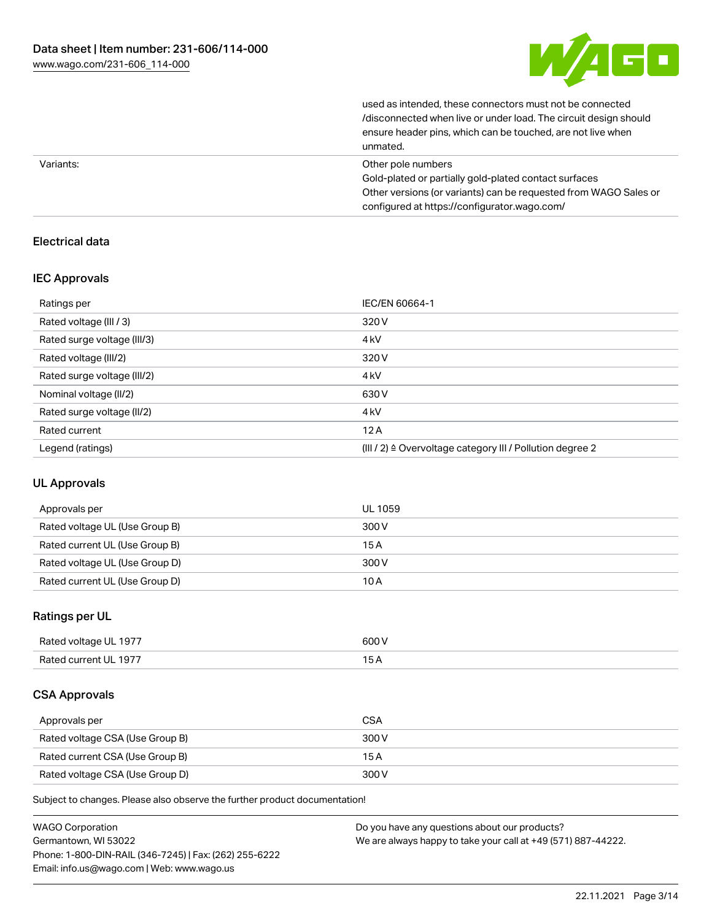

| unmated.                                                         |
|------------------------------------------------------------------|
| ensure header pins, which can be touched, are not live when      |
| /disconnected when live or under load. The circuit design should |
| used as intended, these connectors must not be connected         |

| Variants: | Other pole numbers                                               |
|-----------|------------------------------------------------------------------|
|           | Gold-plated or partially gold-plated contact surfaces            |
|           | Other versions (or variants) can be requested from WAGO Sales or |
|           | configured at https://configurator.wago.com/                     |

# Electrical data

## IEC Approvals

| Ratings per                 | IEC/EN 60664-1                                                       |
|-----------------------------|----------------------------------------------------------------------|
| Rated voltage (III / 3)     | 320 V                                                                |
| Rated surge voltage (III/3) | 4 <sub>kV</sub>                                                      |
| Rated voltage (III/2)       | 320 V                                                                |
| Rated surge voltage (III/2) | 4 <sub>k</sub> V                                                     |
| Nominal voltage (II/2)      | 630 V                                                                |
| Rated surge voltage (II/2)  | 4 <sub>k</sub> V                                                     |
| Rated current               | 12A                                                                  |
| Legend (ratings)            | (III / 2) $\triangleq$ Overvoltage category III / Pollution degree 2 |

## UL Approvals

| Approvals per                  | UL 1059 |
|--------------------------------|---------|
| Rated voltage UL (Use Group B) | 300 V   |
| Rated current UL (Use Group B) | 15 A    |
| Rated voltage UL (Use Group D) | 300 V   |
| Rated current UL (Use Group D) | 10 A    |

# Ratings per UL

| Rated voltage UL 1977 | 600 V |
|-----------------------|-------|
| Rated current UL 1977 |       |

## CSA Approvals

| Approvals per                   | <b>CSA</b> |
|---------------------------------|------------|
| Rated voltage CSA (Use Group B) | 300 V      |
| Rated current CSA (Use Group B) | 15 A       |
| Rated voltage CSA (Use Group D) | 300 V      |

Subject to changes. Please also observe the further product documentation!

| <b>WAGO Corporation</b>                                | Do you have any questions about our products?                 |
|--------------------------------------------------------|---------------------------------------------------------------|
| Germantown, WI 53022                                   | We are always happy to take your call at +49 (571) 887-44222. |
| Phone: 1-800-DIN-RAIL (346-7245)   Fax: (262) 255-6222 |                                                               |
| Email: info.us@wago.com   Web: www.wago.us             |                                                               |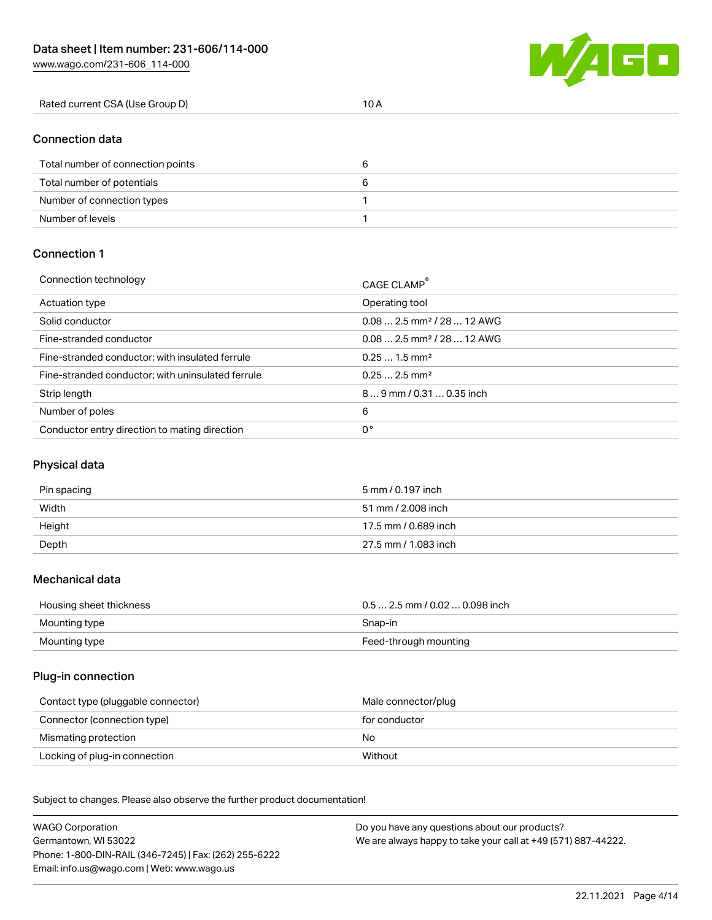W/4GD

| Rated current CSA (Use Group D) |  |
|---------------------------------|--|
|---------------------------------|--|

# Connection data

| Total number of connection points |  |
|-----------------------------------|--|
| Total number of potentials        |  |
| Number of connection types        |  |
| Number of levels                  |  |

## Connection 1

| Connection technology                             | CAGE CLAMP®                            |
|---------------------------------------------------|----------------------------------------|
| Actuation type                                    | Operating tool                         |
| Solid conductor                                   | $0.082.5$ mm <sup>2</sup> / 28  12 AWG |
| Fine-stranded conductor                           | $0.082.5$ mm <sup>2</sup> / 28  12 AWG |
| Fine-stranded conductor; with insulated ferrule   | $0.251.5$ mm <sup>2</sup>              |
| Fine-stranded conductor; with uninsulated ferrule | $0.252.5$ mm <sup>2</sup>              |
| Strip length                                      | 89 mm / 0.31  0.35 inch                |
| Number of poles                                   | 6                                      |
| Conductor entry direction to mating direction     | 0°                                     |

# Physical data

| Pin spacing | 5 mm / 0.197 inch    |
|-------------|----------------------|
| Width       | 51 mm / 2.008 inch   |
| Height      | 17.5 mm / 0.689 inch |
| Depth       | 27.5 mm / 1.083 inch |

#### Mechanical data

| Housing sheet thickness | $0.5$ 2.5 mm / 0.02  0.098 inch |
|-------------------------|---------------------------------|
| Mounting type           | Snap-in                         |
| Mounting type           | Feed-through mounting           |

## Plug-in connection

| Contact type (pluggable connector) | Male connector/plug |
|------------------------------------|---------------------|
| Connector (connection type)        | for conductor       |
| Mismating protection               | No                  |
| Locking of plug-in connection      | Without             |

Subject to changes. Please also observe the further product documentation! Material data

| <b>WAGO Corporation</b>                                | Do you have any questions about our products?                 |
|--------------------------------------------------------|---------------------------------------------------------------|
| Germantown, WI 53022                                   | We are always happy to take your call at +49 (571) 887-44222. |
| Phone: 1-800-DIN-RAIL (346-7245)   Fax: (262) 255-6222 |                                                               |
| Email: info.us@wago.com   Web: www.wago.us             |                                                               |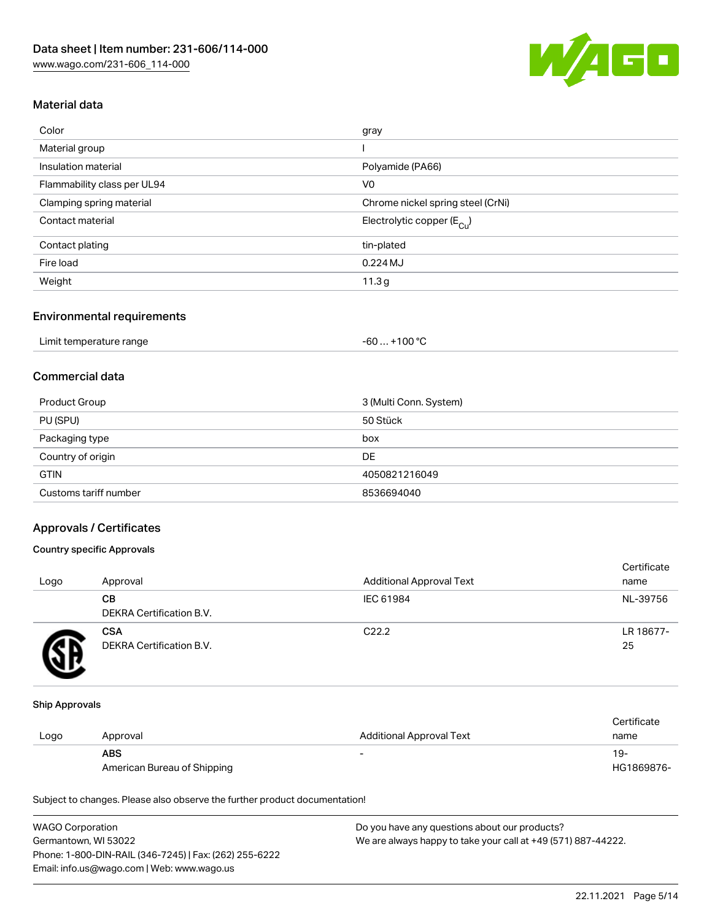

# Material data

| Color                       | gray                                    |
|-----------------------------|-----------------------------------------|
| Material group              |                                         |
| Insulation material         | Polyamide (PA66)                        |
| Flammability class per UL94 | V <sub>0</sub>                          |
| Clamping spring material    | Chrome nickel spring steel (CrNi)       |
| Contact material            | Electrolytic copper ( $E_{\text{Cu}}$ ) |
| Contact plating             | tin-plated                              |
| Fire load                   | $0.224$ MJ                              |
| Weight                      | 11.3 <sub>g</sub>                       |
|                             |                                         |

#### Environmental requirements

| Limit temperature range | . +100 °C<br>$-60$ |
|-------------------------|--------------------|
|-------------------------|--------------------|

# Commercial data

| Product Group         | 3 (Multi Conn. System) |
|-----------------------|------------------------|
| PU (SPU)              | 50 Stück               |
| Packaging type        | box                    |
| Country of origin     | DE                     |
| <b>GTIN</b>           | 4050821216049          |
| Customs tariff number | 8536694040             |

## Approvals / Certificates

## Country specific Approvals

| Logo | Approval                               | <b>Additional Approval Text</b> | Certificate<br>name |
|------|----------------------------------------|---------------------------------|---------------------|
|      | CВ<br>DEKRA Certification B.V.         | IEC 61984                       | NL-39756            |
|      | <b>CSA</b><br>DEKRA Certification B.V. | C <sub>22.2</sub>               | LR 18677-<br>25     |

#### Ship Approvals

|      |                             |                          | Certificate |
|------|-----------------------------|--------------------------|-------------|
| Logo | Approval                    | Additional Approval Text | name        |
|      | <b>ABS</b>                  | $\overline{\phantom{0}}$ | $19-$       |
|      | American Bureau of Shipping |                          | HG1869876-  |

Subject to changes. Please also observe the further product documentation!

| <b>WAGO Corporation</b>                                | Do you have any questions about our products?                 |
|--------------------------------------------------------|---------------------------------------------------------------|
| Germantown, WI 53022                                   | We are always happy to take your call at +49 (571) 887-44222. |
| Phone: 1-800-DIN-RAIL (346-7245)   Fax: (262) 255-6222 |                                                               |
| Email: info.us@wago.com   Web: www.wago.us             |                                                               |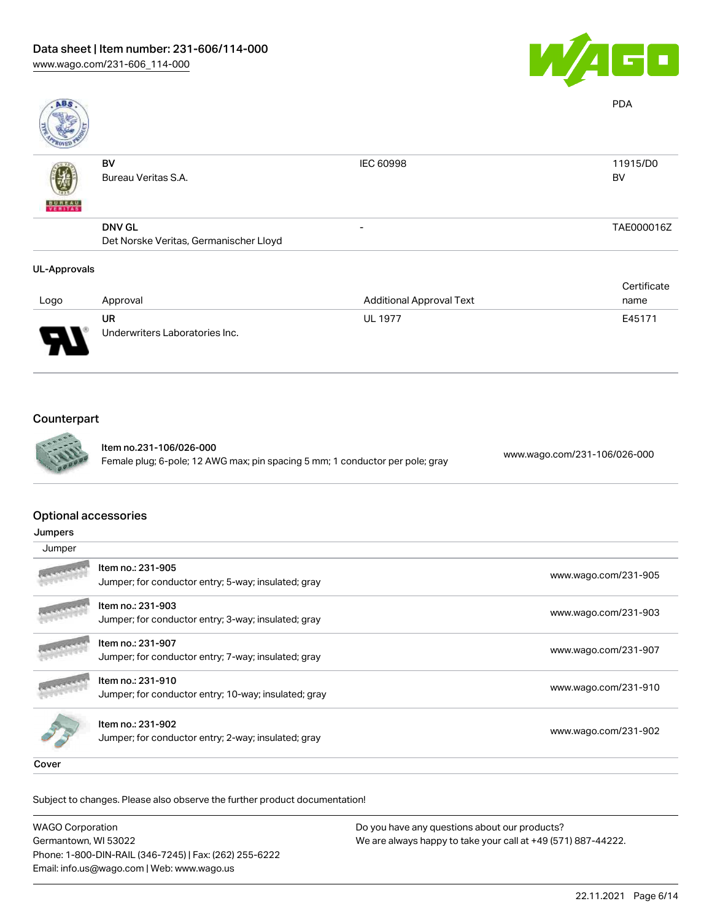

| <b>ABS</b>          |                                        |                                 | <b>PDA</b>  |
|---------------------|----------------------------------------|---------------------------------|-------------|
|                     | BV                                     | <b>IEC 60998</b>                | 11915/D0    |
|                     | Bureau Veritas S.A.                    |                                 | BV          |
| <b>BUREAU</b>       |                                        |                                 |             |
|                     | <b>DNV GL</b>                          |                                 | TAE000016Z  |
|                     | Det Norske Veritas, Germanischer Lloyd |                                 |             |
| <b>UL-Approvals</b> |                                        |                                 |             |
|                     |                                        |                                 | Certificate |
| Logo                | Approval                               | <b>Additional Approval Text</b> | name        |

| Logo | Approval                             | <b>Additional Approval Text</b> | name   |
|------|--------------------------------------|---------------------------------|--------|
| J    | UR<br>Underwriters Laboratories Inc. | <b>UL 1977</b>                  | E45171 |

# Counterpart



Item no.231-106/026-000 Female plug; 6-pole; 12 AWG max; pin spacing 5 mm; 1 conductor per pole; gray [www.wago.com/231-106/026-000](https://www.wago.com/231-106/026-000)

## Optional accessories

| Jumpers |
|---------|
|---------|

| Jumper                      |                                                                           |                      |
|-----------------------------|---------------------------------------------------------------------------|----------------------|
|                             | Item no.: 231-905<br>Jumper; for conductor entry; 5-way; insulated; gray  | www.wago.com/231-905 |
|                             | Item no.: 231-903<br>Jumper; for conductor entry; 3-way; insulated; gray  | www.wago.com/231-903 |
|                             | Item no.: 231-907<br>Jumper; for conductor entry; 7-way; insulated; gray  | www.wago.com/231-907 |
|                             | Item no.: 231-910<br>Jumper; for conductor entry; 10-way; insulated; gray | www.wago.com/231-910 |
|                             | Item no.: 231-902<br>Jumper; for conductor entry; 2-way; insulated; gray  | www.wago.com/231-902 |
| $\sim$ $\sim$ $\sim$ $\sim$ |                                                                           |                      |

Cover

Subject to changes. Please also observe the further product documentation! Cover

| <b>WAGO Corporation</b>                                | Do you have any questions about our products?                 |
|--------------------------------------------------------|---------------------------------------------------------------|
| Germantown, WI 53022                                   | We are always happy to take your call at +49 (571) 887-44222. |
| Phone: 1-800-DIN-RAIL (346-7245)   Fax: (262) 255-6222 |                                                               |
| Email: info.us@wago.com   Web: www.wago.us             |                                                               |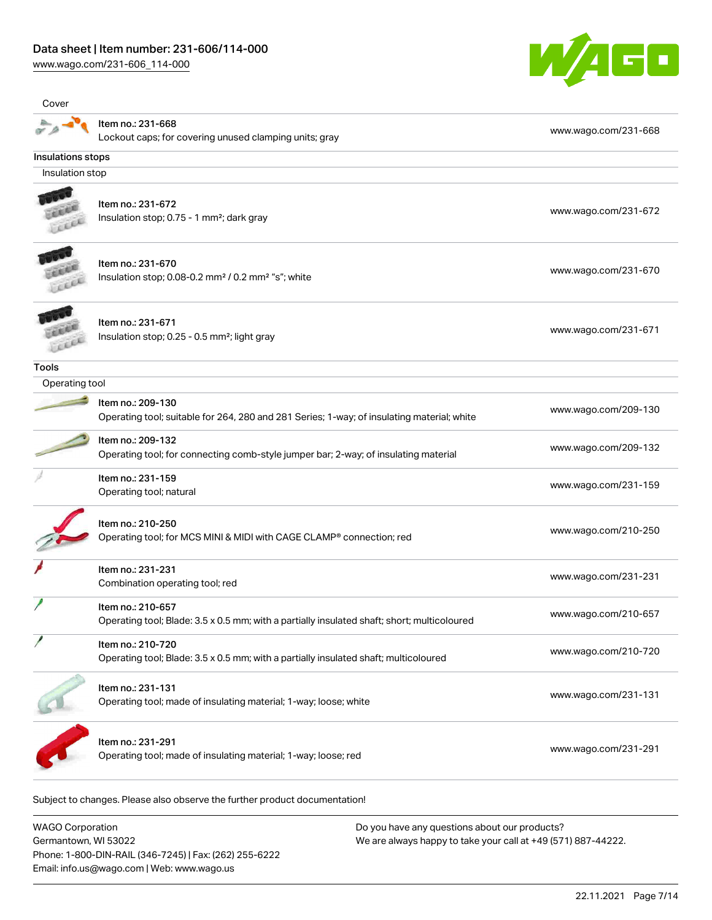[www.wago.com/231-606\\_114-000](http://www.wago.com/231-606_114-000)



| Cover             |                                                                                                                  |                      |
|-------------------|------------------------------------------------------------------------------------------------------------------|----------------------|
|                   | Item no.: 231-668<br>Lockout caps; for covering unused clamping units; gray                                      | www.wago.com/231-668 |
| Insulations stops |                                                                                                                  |                      |
| Insulation stop   |                                                                                                                  |                      |
|                   | Item no.: 231-672<br>Insulation stop; 0.75 - 1 mm <sup>2</sup> ; dark gray                                       | www.wago.com/231-672 |
|                   | Item no.: 231-670<br>Insulation stop; 0.08-0.2 mm <sup>2</sup> / 0.2 mm <sup>2</sup> "s"; white                  | www.wago.com/231-670 |
|                   | Item no.: 231-671<br>Insulation stop; 0.25 - 0.5 mm <sup>2</sup> ; light gray                                    | www.wago.com/231-671 |
| <b>Tools</b>      |                                                                                                                  |                      |
| Operating tool    |                                                                                                                  |                      |
|                   | Item no.: 209-130<br>Operating tool; suitable for 264, 280 and 281 Series; 1-way; of insulating material; white  | www.wago.com/209-130 |
|                   | Item no.: 209-132<br>Operating tool; for connecting comb-style jumper bar; 2-way; of insulating material         | www.wago.com/209-132 |
|                   | Item no.: 231-159<br>Operating tool; natural                                                                     | www.wago.com/231-159 |
|                   | Item no.: 210-250<br>Operating tool; for MCS MINI & MIDI with CAGE CLAMP® connection; red                        | www.wago.com/210-250 |
|                   | Item no.: 231-231<br>Combination operating tool; red                                                             | www.wago.com/231-231 |
|                   | Item no.: 210-657<br>Operating tool; Blade: 3.5 x 0.5 mm; with a partially insulated shaft; short; multicoloured | www.wago.com/210-657 |
|                   | Item no.: 210-720<br>Operating tool; Blade: 3.5 x 0.5 mm; with a partially insulated shaft; multicoloured        | www.wago.com/210-720 |
|                   | Item no.: 231-131<br>Operating tool; made of insulating material; 1-way; loose; white                            | www.wago.com/231-131 |
|                   | Item no.: 231-291<br>Operating tool; made of insulating material; 1-way; loose; red                              | www.wago.com/231-291 |

WAGO Corporation Germantown, WI 53022 Phone: 1-800-DIN-RAIL (346-7245) | Fax: (262) 255-6222 Email: info.us@wago.com | Web: www.wago.us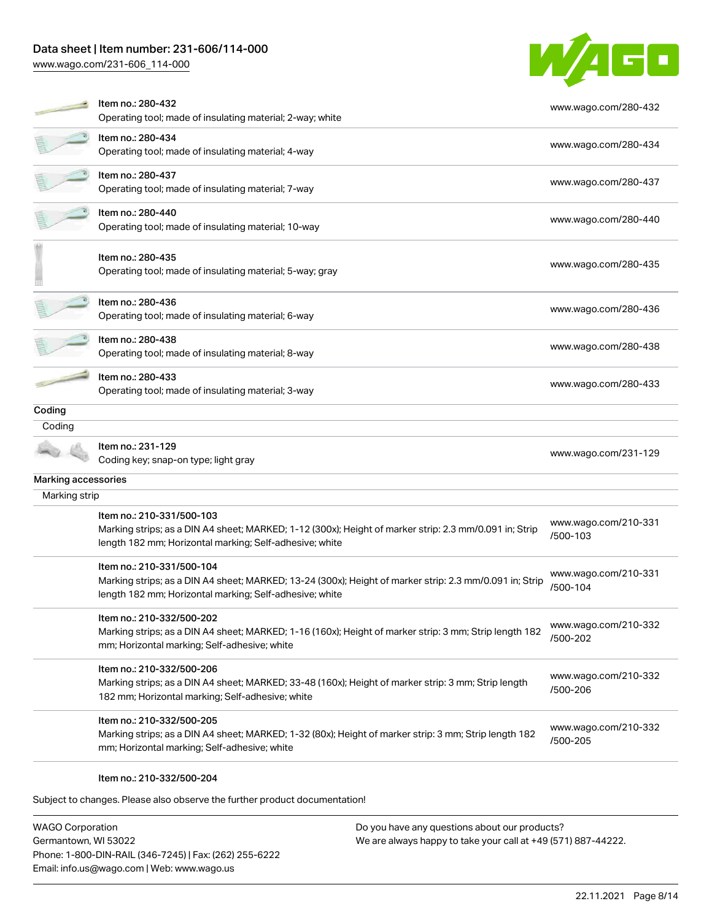# Data sheet | Item number: 231-606/114-000

[www.wago.com/231-606\\_114-000](http://www.wago.com/231-606_114-000)



|                     | Item no.: 280-432<br>Operating tool; made of insulating material; 2-way; white                                                                                                                  | www.wago.com/280-432             |
|---------------------|-------------------------------------------------------------------------------------------------------------------------------------------------------------------------------------------------|----------------------------------|
|                     | Item no.: 280-434<br>Operating tool; made of insulating material; 4-way                                                                                                                         | www.wago.com/280-434             |
|                     | Item no.: 280-437<br>Operating tool; made of insulating material; 7-way                                                                                                                         | www.wago.com/280-437             |
|                     | Item no.: 280-440<br>Operating tool; made of insulating material; 10-way                                                                                                                        | www.wago.com/280-440             |
|                     | Item no.: 280-435<br>Operating tool; made of insulating material; 5-way; gray                                                                                                                   | www.wago.com/280-435             |
|                     | Item no.: 280-436<br>Operating tool; made of insulating material; 6-way                                                                                                                         | www.wago.com/280-436             |
|                     | Item no.: 280-438<br>Operating tool; made of insulating material; 8-way                                                                                                                         | www.wago.com/280-438             |
|                     | Item no.: 280-433<br>Operating tool; made of insulating material; 3-way                                                                                                                         | www.wago.com/280-433             |
| Coding              |                                                                                                                                                                                                 |                                  |
| Coding              |                                                                                                                                                                                                 |                                  |
|                     | Item no.: 231-129<br>Coding key; snap-on type; light gray                                                                                                                                       | www.wago.com/231-129             |
| Marking accessories |                                                                                                                                                                                                 |                                  |
| Marking strip       |                                                                                                                                                                                                 |                                  |
|                     | Item no.: 210-331/500-103<br>Marking strips; as a DIN A4 sheet; MARKED; 1-12 (300x); Height of marker strip: 2.3 mm/0.091 in; Strip<br>length 182 mm; Horizontal marking; Self-adhesive; white  | www.wago.com/210-331<br>/500-103 |
|                     | Item no.: 210-331/500-104<br>Marking strips; as a DIN A4 sheet; MARKED; 13-24 (300x); Height of marker strip: 2.3 mm/0.091 in; Strip<br>length 182 mm; Horizontal marking; Self-adhesive; white | www.wago.com/210-331<br>/500-104 |
|                     | Item no.: 210-332/500-202<br>Marking strips; as a DIN A4 sheet; MARKED; 1-16 (160x); Height of marker strip: 3 mm; Strip length 182<br>mm; Horizontal marking; Self-adhesive; white             | www.wago.com/210-332<br>/500-202 |
|                     | Item no.: 210-332/500-206<br>Marking strips; as a DIN A4 sheet; MARKED; 33-48 (160x); Height of marker strip: 3 mm; Strip length<br>182 mm; Horizontal marking; Self-adhesive; white            | www.wago.com/210-332<br>/500-206 |
|                     | Item no.: 210-332/500-205<br>Marking strips; as a DIN A4 sheet; MARKED; 1-32 (80x); Height of marker strip: 3 mm; Strip length 182<br>mm; Horizontal marking; Self-adhesive; white              | www.wago.com/210-332<br>/500-205 |
|                     | Item no.: 210-332/500-204                                                                                                                                                                       |                                  |

Subject to changes. Please also observe the further product documentation!

WAGO Corporation Germantown, WI 53022 Phone: 1-800-DIN-RAIL (346-7245) | Fax: (262) 255-6222 Email: info.us@wago.com | Web: www.wago.us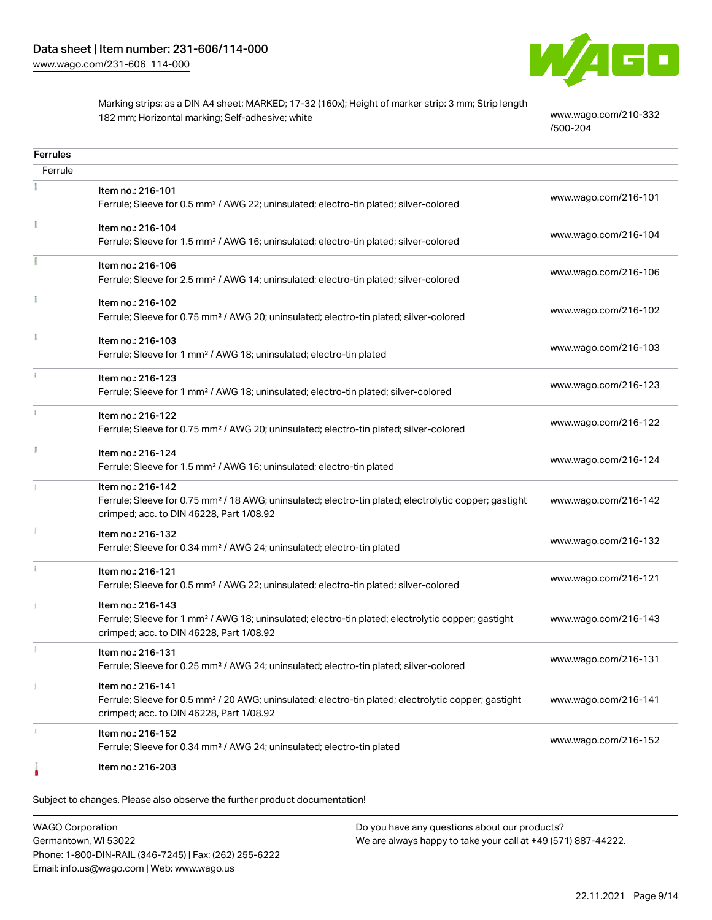

Marking strips; as a DIN A4 sheet; MARKED; 17-32 (160x); Height of marker strip: 3 mm; Strip length 182 mm; Horizontal marking; Self-adhesive; white [www.wago.com/210-332](http://www.wago.com/210-332/500-204)

[/500-204](http://www.wago.com/210-332/500-204)

| <b>Ferrules</b> |                                                                                                                                                                                    |                      |
|-----------------|------------------------------------------------------------------------------------------------------------------------------------------------------------------------------------|----------------------|
| Ferrule         |                                                                                                                                                                                    |                      |
|                 | Item no.: 216-101<br>Ferrule; Sleeve for 0.5 mm <sup>2</sup> / AWG 22; uninsulated; electro-tin plated; silver-colored                                                             | www.wago.com/216-101 |
|                 | Item no.: 216-104<br>Ferrule; Sleeve for 1.5 mm <sup>2</sup> / AWG 16; uninsulated; electro-tin plated; silver-colored                                                             | www.wago.com/216-104 |
|                 | Item no.: 216-106<br>Ferrule; Sleeve for 2.5 mm <sup>2</sup> / AWG 14; uninsulated; electro-tin plated; silver-colored                                                             | www.wago.com/216-106 |
|                 | Item no.: 216-102<br>Ferrule; Sleeve for 0.75 mm <sup>2</sup> / AWG 20; uninsulated; electro-tin plated; silver-colored                                                            | www.wago.com/216-102 |
|                 | Item no.: 216-103<br>Ferrule; Sleeve for 1 mm <sup>2</sup> / AWG 18; uninsulated; electro-tin plated                                                                               | www.wago.com/216-103 |
|                 | Item no.: 216-123<br>Ferrule; Sleeve for 1 mm <sup>2</sup> / AWG 18; uninsulated; electro-tin plated; silver-colored                                                               | www.wago.com/216-123 |
|                 | Item no.: 216-122<br>Ferrule; Sleeve for 0.75 mm <sup>2</sup> / AWG 20; uninsulated; electro-tin plated; silver-colored                                                            | www.wago.com/216-122 |
|                 | Item no.: 216-124<br>Ferrule; Sleeve for 1.5 mm <sup>2</sup> / AWG 16; uninsulated; electro-tin plated                                                                             | www.wago.com/216-124 |
|                 | Item no.: 216-142<br>Ferrule; Sleeve for 0.75 mm <sup>2</sup> / 18 AWG; uninsulated; electro-tin plated; electrolytic copper; gastight<br>crimped; acc. to DIN 46228, Part 1/08.92 | www.wago.com/216-142 |
|                 | Item no.: 216-132<br>Ferrule; Sleeve for 0.34 mm <sup>2</sup> / AWG 24; uninsulated; electro-tin plated                                                                            | www.wago.com/216-132 |
|                 | Item no.: 216-121<br>Ferrule; Sleeve for 0.5 mm <sup>2</sup> / AWG 22; uninsulated; electro-tin plated; silver-colored                                                             | www.wago.com/216-121 |
|                 | Item no.: 216-143<br>Ferrule; Sleeve for 1 mm <sup>2</sup> / AWG 18; uninsulated; electro-tin plated; electrolytic copper; gastight<br>crimped; acc. to DIN 46228, Part 1/08.92    | www.wago.com/216-143 |
|                 | Item no.: 216-131<br>Ferrule; Sleeve for 0.25 mm <sup>2</sup> / AWG 24; uninsulated; electro-tin plated; silver-colored                                                            | www.wago.com/216-131 |
|                 | Item no.: 216-141<br>Ferrule; Sleeve for 0.5 mm <sup>2</sup> / 20 AWG; uninsulated; electro-tin plated; electrolytic copper; gastight<br>crimped; acc. to DIN 46228, Part 1/08.92  | www.wago.com/216-141 |
|                 | Item no.: 216-152<br>Ferrule; Sleeve for 0.34 mm <sup>2</sup> / AWG 24; uninsulated; electro-tin plated                                                                            | www.wago.com/216-152 |
|                 | Item no.: 216-203                                                                                                                                                                  |                      |

Subject to changes. Please also observe the further product documentation!

WAGO Corporation Germantown, WI 53022 Phone: 1-800-DIN-RAIL (346-7245) | Fax: (262) 255-6222 Email: info.us@wago.com | Web: www.wago.us Do you have any questions about our products? We are always happy to take your call at +49 (571) 887-44222.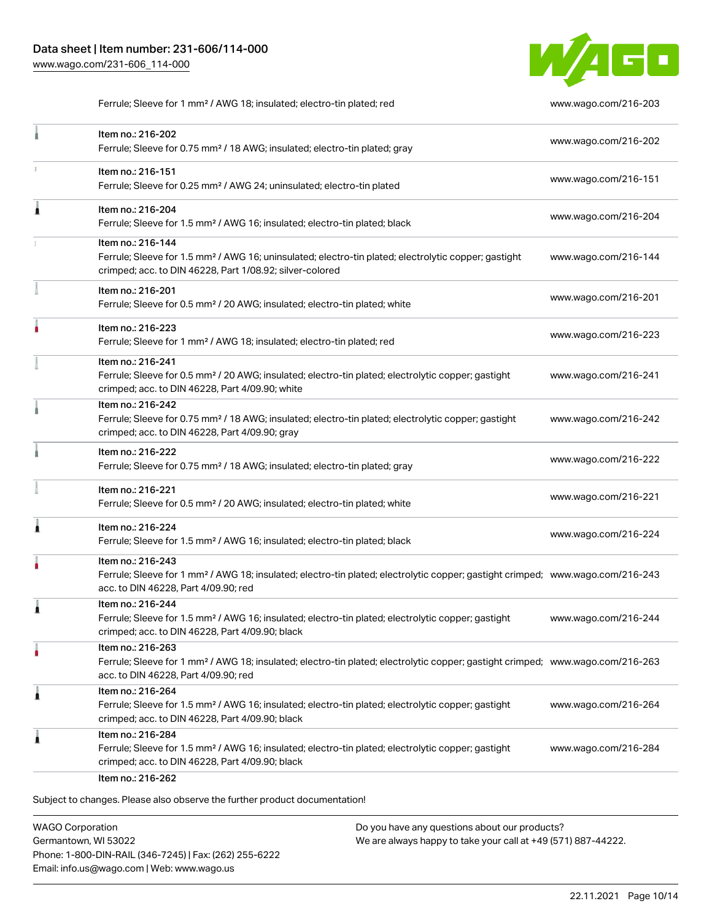

Ferrule; Sleeve for 1 mm² / AWG 18; insulated; electro-tin plated; red [www.wago.com/216-203](http://www.wago.com/216-203)

|   | Item no.: 216-202<br>Ferrule; Sleeve for 0.75 mm <sup>2</sup> / 18 AWG; insulated; electro-tin plated; gray                                                                                             | www.wago.com/216-202 |
|---|---------------------------------------------------------------------------------------------------------------------------------------------------------------------------------------------------------|----------------------|
| ı | Item no.: 216-151<br>Ferrule; Sleeve for 0.25 mm <sup>2</sup> / AWG 24; uninsulated; electro-tin plated                                                                                                 | www.wago.com/216-151 |
| Â | Item no.: 216-204<br>Ferrule; Sleeve for 1.5 mm <sup>2</sup> / AWG 16; insulated; electro-tin plated; black                                                                                             | www.wago.com/216-204 |
|   | Item no.: 216-144<br>Ferrule; Sleeve for 1.5 mm <sup>2</sup> / AWG 16; uninsulated; electro-tin plated; electrolytic copper; gastight<br>crimped; acc. to DIN 46228, Part 1/08.92; silver-colored       | www.wago.com/216-144 |
|   | Item no.: 216-201<br>Ferrule; Sleeve for 0.5 mm <sup>2</sup> / 20 AWG; insulated; electro-tin plated; white                                                                                             | www.wago.com/216-201 |
|   | Item no.: 216-223<br>Ferrule; Sleeve for 1 mm <sup>2</sup> / AWG 18; insulated; electro-tin plated; red                                                                                                 | www.wago.com/216-223 |
|   | Item no.: 216-241<br>Ferrule; Sleeve for 0.5 mm <sup>2</sup> / 20 AWG; insulated; electro-tin plated; electrolytic copper; gastight<br>crimped; acc. to DIN 46228, Part 4/09.90; white                  | www.wago.com/216-241 |
|   | Item no.: 216-242<br>Ferrule; Sleeve for 0.75 mm <sup>2</sup> / 18 AWG; insulated; electro-tin plated; electrolytic copper; gastight<br>crimped; acc. to DIN 46228, Part 4/09.90; gray                  | www.wago.com/216-242 |
|   | Item no.: 216-222<br>Ferrule; Sleeve for 0.75 mm <sup>2</sup> / 18 AWG; insulated; electro-tin plated; gray                                                                                             | www.wago.com/216-222 |
|   | Item no.: 216-221<br>Ferrule; Sleeve for 0.5 mm <sup>2</sup> / 20 AWG; insulated; electro-tin plated; white                                                                                             | www.wago.com/216-221 |
| 1 | Item no.: 216-224<br>Ferrule; Sleeve for 1.5 mm <sup>2</sup> / AWG 16; insulated; electro-tin plated; black                                                                                             | www.wago.com/216-224 |
|   | Item no.: 216-243<br>Ferrule; Sleeve for 1 mm <sup>2</sup> / AWG 18; insulated; electro-tin plated; electrolytic copper; gastight crimped; www.wago.com/216-243<br>acc. to DIN 46228, Part 4/09.90; red |                      |
| Â | Item no.: 216-244<br>Ferrule; Sleeve for 1.5 mm <sup>2</sup> / AWG 16; insulated; electro-tin plated; electrolytic copper; gastight<br>crimped; acc. to DIN 46228, Part 4/09.90; black                  | www.wago.com/216-244 |
| ٠ | Item no.: 216-263<br>Ferrule; Sleeve for 1 mm <sup>2</sup> / AWG 18; insulated; electro-tin plated; electrolytic copper; gastight crimped; www.wago.com/216-263<br>acc. to DIN 46228, Part 4/09.90; red |                      |
| Â | Item no.: 216-264<br>Ferrule; Sleeve for 1.5 mm <sup>2</sup> / AWG 16; insulated; electro-tin plated; electrolytic copper; gastight<br>crimped; acc. to DIN 46228, Part 4/09.90; black                  | www.wago.com/216-264 |
| Ă | Item no.: 216-284<br>Ferrule; Sleeve for 1.5 mm <sup>2</sup> / AWG 16; insulated; electro-tin plated; electrolytic copper; gastight<br>crimped; acc. to DIN 46228, Part 4/09.90; black                  | www.wago.com/216-284 |

WAGO Corporation Germantown, WI 53022 Phone: 1-800-DIN-RAIL (346-7245) | Fax: (262) 255-6222 Email: info.us@wago.com | Web: www.wago.us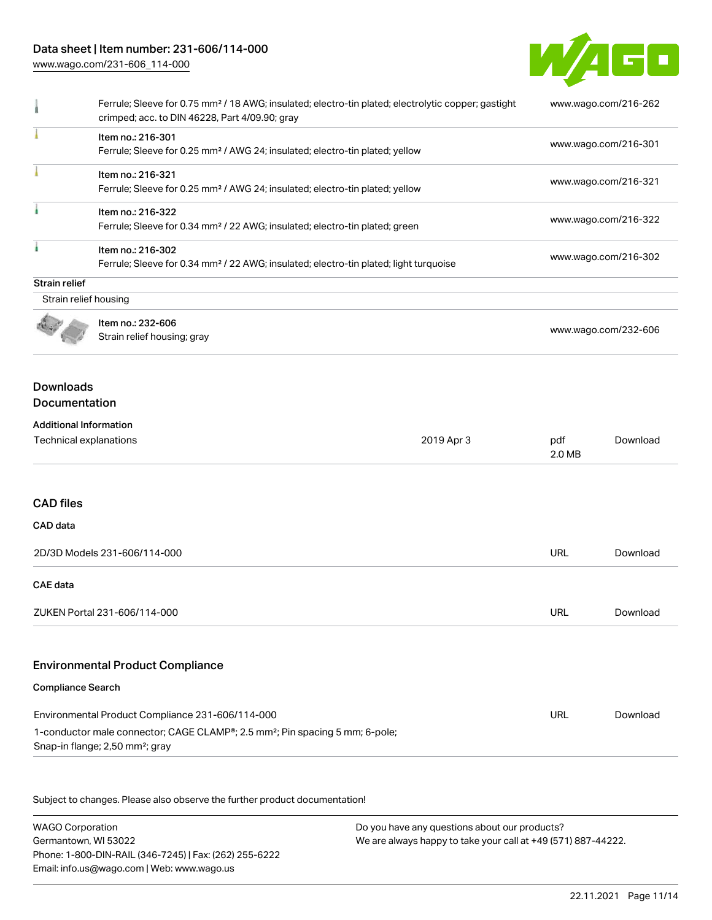# Data sheet | Item number: 231-606/114-000

[www.wago.com/231-606\\_114-000](http://www.wago.com/231-606_114-000)



|                                                         | Ferrule; Sleeve for 0.75 mm <sup>2</sup> / 18 AWG; insulated; electro-tin plated; electrolytic copper; gastight<br>crimped; acc. to DIN 46228, Part 4/09.90; gray |            | www.wago.com/216-262 |          |
|---------------------------------------------------------|-------------------------------------------------------------------------------------------------------------------------------------------------------------------|------------|----------------------|----------|
|                                                         | Item no.: 216-301<br>Ferrule; Sleeve for 0.25 mm <sup>2</sup> / AWG 24; insulated; electro-tin plated; yellow                                                     |            | www.wago.com/216-301 |          |
|                                                         | Item no.: 216-321<br>Ferrule; Sleeve for 0.25 mm <sup>2</sup> / AWG 24; insulated; electro-tin plated; yellow                                                     |            | www.wago.com/216-321 |          |
|                                                         | Item no.: 216-322<br>Ferrule; Sleeve for 0.34 mm <sup>2</sup> / 22 AWG; insulated; electro-tin plated; green                                                      |            | www.wago.com/216-322 |          |
| f.                                                      | Item no.: 216-302<br>Ferrule; Sleeve for 0.34 mm <sup>2</sup> / 22 AWG; insulated; electro-tin plated; light turquoise                                            |            | www.wago.com/216-302 |          |
| <b>Strain relief</b>                                    |                                                                                                                                                                   |            |                      |          |
| Strain relief housing                                   |                                                                                                                                                                   |            |                      |          |
|                                                         | Item no.: 232-606<br>Strain relief housing; gray                                                                                                                  |            | www.wago.com/232-606 |          |
| <b>Downloads</b><br>Documentation                       |                                                                                                                                                                   |            |                      |          |
| <b>Additional Information</b><br>Technical explanations |                                                                                                                                                                   | 2019 Apr 3 | pdf<br>2.0 MB        | Download |
| <b>CAD files</b><br>CAD data                            |                                                                                                                                                                   |            |                      |          |
|                                                         | 2D/3D Models 231-606/114-000                                                                                                                                      |            | URL                  | Download |
| <b>CAE</b> data                                         |                                                                                                                                                                   |            |                      |          |
|                                                         | ZUKEN Portal 231-606/114-000                                                                                                                                      |            | <b>URL</b>           | Download |
|                                                         | <b>Environmental Product Compliance</b>                                                                                                                           |            |                      |          |
| <b>Compliance Search</b>                                |                                                                                                                                                                   |            |                      |          |
|                                                         | Environmental Product Compliance 231-606/114-000                                                                                                                  |            | <b>URL</b>           | Download |
|                                                         | 1-conductor male connector; CAGE CLAMP <sup>®</sup> ; 2.5 mm <sup>2</sup> ; Pin spacing 5 mm; 6-pole;<br>Snap-in flange; 2,50 mm <sup>2</sup> ; gray              |            |                      |          |
|                                                         | Subject to changes. Please also observe the further product documentation!                                                                                        |            |                      |          |
|                                                         |                                                                                                                                                                   |            |                      |          |

WAGO Corporation Germantown, WI 53022 Phone: 1-800-DIN-RAIL (346-7245) | Fax: (262) 255-6222 Email: info.us@wago.com | Web: www.wago.us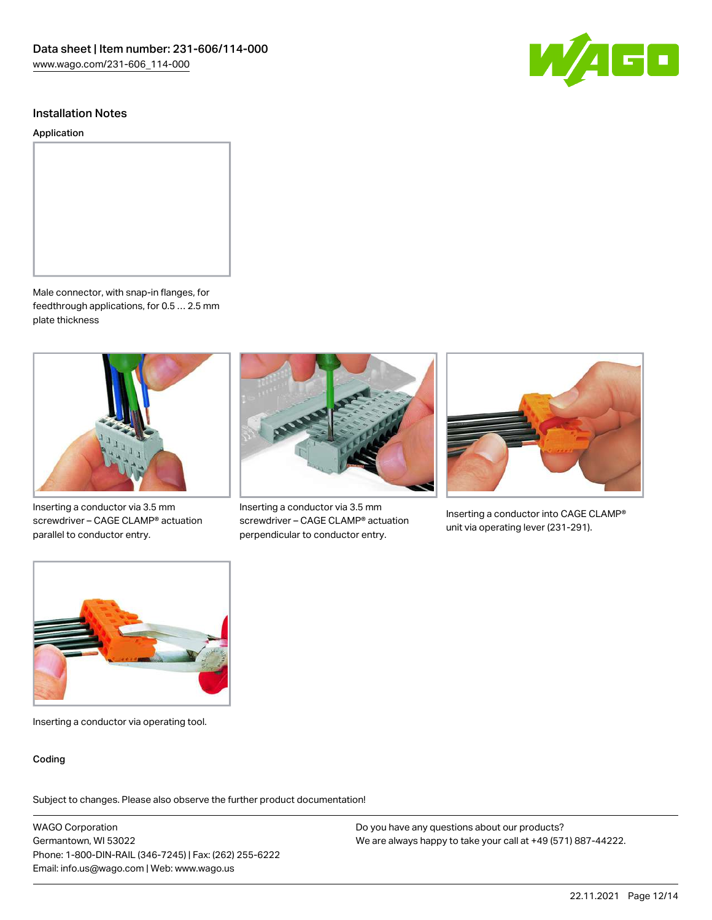

Application



Male connector, with snap-in flanges, for feedthrough applications, for 0.5 … 2.5 mm plate thickness



Inserting a conductor via 3.5 mm screwdriver – CAGE CLAMP® actuation parallel to conductor entry.



Inserting a conductor via 3.5 mm screwdriver – CAGE CLAMP® actuation perpendicular to conductor entry.



Inserting a conductor into CAGE CLAMP® unit via operating lever (231-291).



Inserting a conductor via operating tool.

#### Coding

Subject to changes. Please also observe the further product documentation!

WAGO Corporation Germantown, WI 53022 Phone: 1-800-DIN-RAIL (346-7245) | Fax: (262) 255-6222 Email: info.us@wago.com | Web: www.wago.us

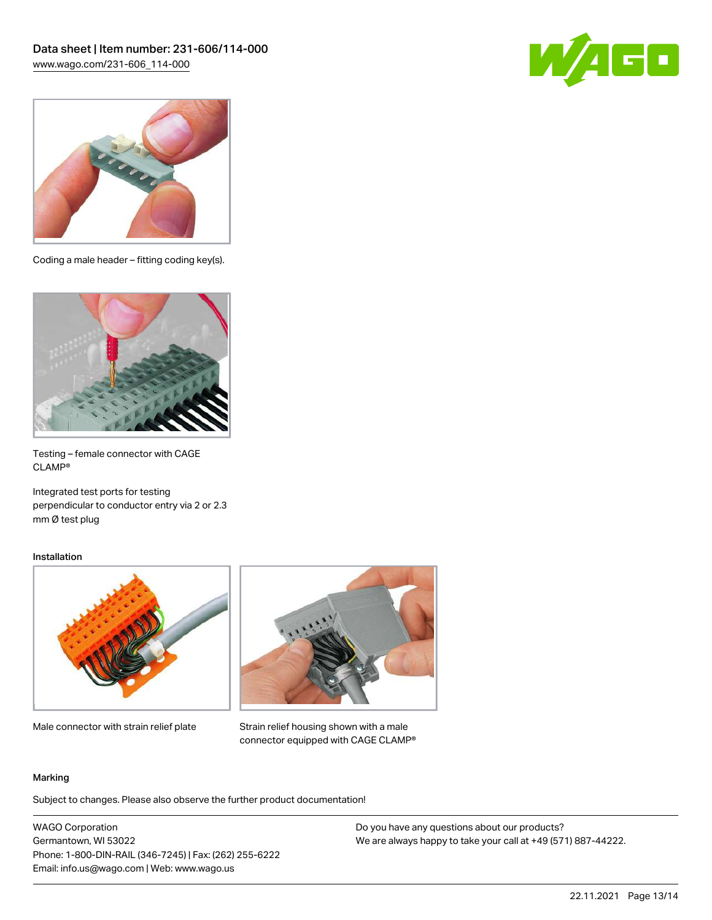



Coding a male header – fitting coding key(s).



Testing – female connector with CAGE CLAMP®

Integrated test ports for testing perpendicular to conductor entry via 2 or 2.3 mm Ø test plug

#### Installation



Male connector with strain relief plate



Strain relief housing shown with a male connector equipped with CAGE CLAMP®

#### Marking

Subject to changes. Please also observe the further product documentation!

WAGO Corporation Germantown, WI 53022 Phone: 1-800-DIN-RAIL (346-7245) | Fax: (262) 255-6222 Email: info.us@wago.com | Web: www.wago.us